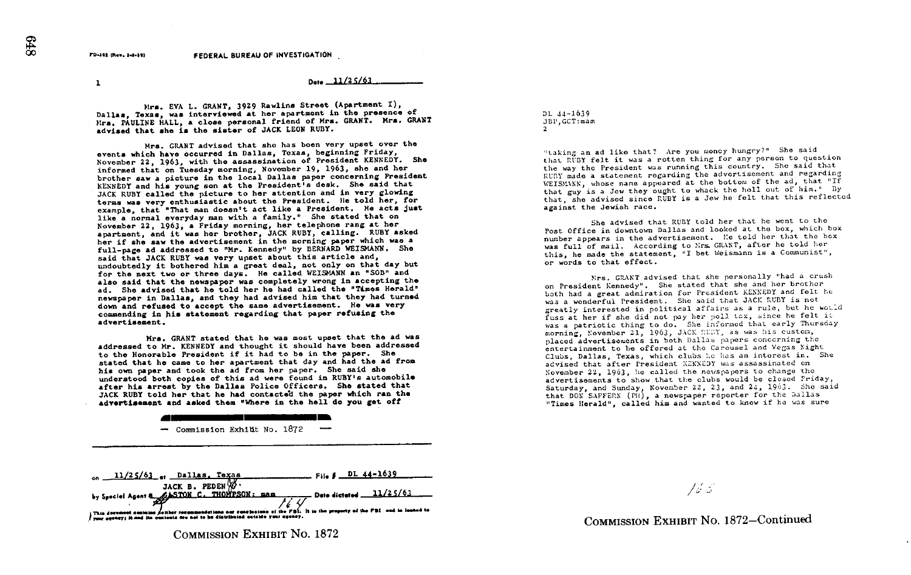FD-101 (Rev. 1-1-10) FEDERAL BUREAU OF INVESTIGATION

 $1$  Dete  $-11/25/61$ 

Mrs. EVA L. GRANT, 3929 Rawlins Street (Apartment I), Dallas, Texas, was interviewed at her apartment in the presence of Mrs. PAULINE HALL, a close personal friend of Hrs<br>advised that she is the sister of JACK LEON RUBY. Mrs. PAULINE HALL, a close personal friend of Mrs. GRANT. Mrs. GRANT

events which have occurred in Dallas, Texas, beginning Friday,<br>November 22, 1963, with the assassination of President KENNEDY. She Mrs. GRANT advised that she has been very upset over the<br>events which have occurred in Dallas, Texas, beginning Friday, informed that on Tuesday morning, November 19, 1963, she and her brother saw a picture in the local Dallas paper concerning President KENNEDY and his young son at the President's desk. She said that JACK RUBY called the picture to her attention and in very glowing terms was very enthusiastic about the President. He told her. for example, that "That man doesn't act like a President. He acts just like a normal everyday man with a family." She stated that on November 22, 1963, a Friday morning, her telephone rang at her apartment, and it was her brother, JACK RUBY, calling. RUBY asked her if she saw the advertisement in the morning paper which was a<br>full-page ad addressed to "Mr. Kennedy" by BERNARD WEISMANN. She her if she saw the advertisement in the morning paper which was a said that JACK RUBY was very upset about this article and, undoubtedly it bothered him a great deal, not only on that day but for the next two or three days. He called WEISMANN an "SOB" and also said that the newspaper was completely wrong in accepting the ad. She advised that he told her he had called the "Times Herald"<br>newspaper in Dallas, and they had advised him that they had turned<br>we had turned newspaper in Dallas, and they had advised him that they had tur-<br>down and refused to accept the same advertisement. He was very ad. She advised that he told her he had called the "Times Herald" commending in his statement regarding that paper refusing the advertisement.

Mrs. GRANT stated that he was most upset that the ad was Mrs. GRANT stated that he was most upset that the ad was<br>Addressed to Mr. KENNEDY and thought it should have been addressed<br>to the Honorable President if it had to be in the paper. She to the Honorable President if it had to be in the paper. She<br>stated that he came to her apartment that day and had the ad from<br>the said she his own paper and took the ad from her paper. She said she understood both copies of this ad were found in RUBY's automobile after his arrest by the Dallas Police Officers. She stated that<br>ISO RUBY told has that he had contacted the paper which ran the JACK RUBY told her that he had contacted the paper which ran the advertisement and asked then "Where in the hall do you got off



by Special Agent **B** 3ACK B. PEDEN W .<br>by Special Agent **Agency C. THOMPSON: BAB** AL U Date dictated 11/25/63 lans nar eanelnotana of the PBI. inent son<br>17 | *H n*ed<br>17 | H and

COMMISSION EXHIBIT No. 1872

DL 44-1639 JBP, GCT:mam  $\overline{a}$ 

"taking an ad like that? Are you money hungry?" She said that RUBY felt it was a rotten thing for any person to question the way the President was running this country. She said that RUBY made <sup>a</sup> statement regarding the advertisement and regarding WEISMANN, whose name appeared at the bottom of the ad, that "If that guy is a Jew they ought to whack the hall out of him." By that, she advised since rUBY is <sup>a</sup> Jew he felt that this reflected against the Jewish race.

She advised that RUBY told her that he went to the Post Office in downtown Dallas and looked at the box, which box number appears in the advertisement. He told her that the box<br>was full of mail. According to Mrs. GRANT, after he told her<br>" ement. Le tol was furt of matter that the statement, "I bet Weismann is a Communist",<br>this, he made the statement, "I bet Weismann is a Communist", or words to that effect.

on President Kennedy". She stated that she and her prother<br>both had a great admiration for President KENNEDY and felt he<br>condition of the conditional she will be a she will be so that GRANT advised that she personally "had a crush edy". She stated that she and her brother both had a great admiration for President KENNEDI and Tell<br>was a wonderful President. She said that JACK RUBY is not fuss at her if she did not pay her politics, since he refit it.<br>was a patriotic thing to do. She informed that early Thursday<br>was in the context of the state of the custom. a wonderful President. She said that JACK NODI IS hot<br>atly interested in political affairs as a rule, but he would fuss at her if she did not pay her poll tax, since he morning, November 21, 1963, JACK RUDY, as was his custom. placed advertisements in both balls papers concerning the<br>entertainment to be offered at the Carousel and Vegas Night , November 21, 1963, JACK Rubi, as was his cu<br>advertisements in both Dallas papers concerni<br> has an interest in. She Clubs, Dallas, Texas, which clubs he has an interest in.<br>advised that after President EENEDY was assassinated on<br>November 22, 1963, he called the newspapers to change the November 22, 1963, he called the neiispapers to ch-g the . advertisements to show that the clubs would be closed Friday, Saturday, and Sunday, November 22, 23, and 24, 1963. She said<br>that DOX SAFFERN (Pll), a newspaper reporter for the Dallas<br>"Times Herald", called him and wanted to know if he was sure "Times Herald", called him and wanted to know if he was sure

165

COMMISSION EXHIBIT No. 1872-Continued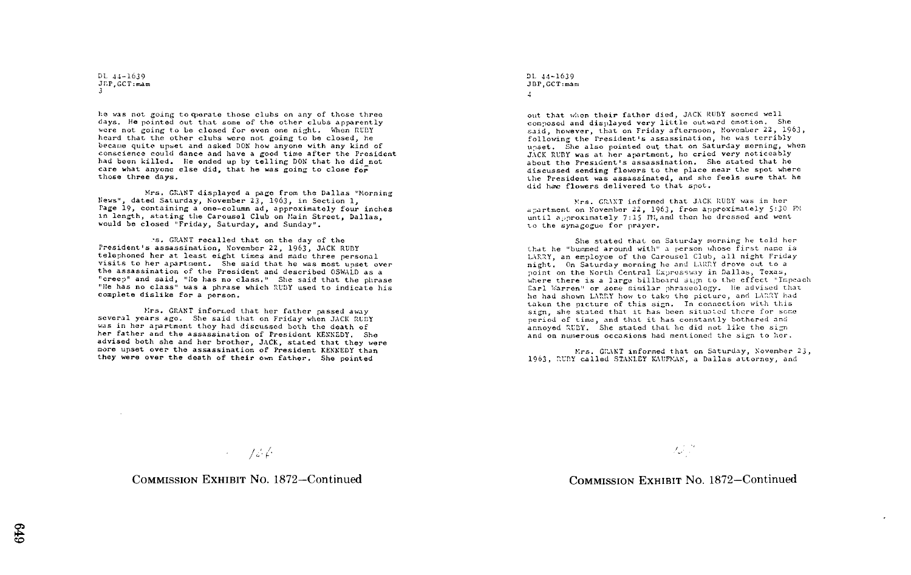DI, 44-1639 JEP, GCT:mam 3

lie was not going tooperate those clubs on any of those three days. He pointed out that some of the other clubs apparently were not going to be closed for even one night. When RUBY heard that the other clubs were not going to be closed, he became quite upset and asked DON how anyone with any kind of conscience could dance and have a good time after the President had been killed. He ended up by telling DON that he did not care what anyone else did, that he was going to close for those three days.

Mrs. GRANT displayed a page from the Dallas "Morning News-', dated Saturday, November 23, 1963, in Section 1, Page 19, containing <sup>a</sup> one-column ad, approximately four inches in length, stating the Carousel Club on Main Street, Dallas, would be closed "Friday, Saturday, and Sunday".

President's assassination, November 22, 1963, JACK RUBY GRANT recalled that on the day of the telephoned her at least eight times and made three personal visits to her apartment. She said that he was most upset over the assassination of the President and described OSWALD as a the assassination of the President and described OSWALD as a<br>"creep" and said, "He has no class." She said that the phrase<br>"He has no class." He has no class." SHE "Ile has no class." She said that the phrase<br>"Ile has no class" was a phrase which RUBY used to indicate his complete dislike for a person.

Mrs. GRANT informed that her father passed away several years ago. She said that on Friday when JACK RUBY was in her apartment they had discussed both the death of her father and the assassination of President KENNEDY. She advised both she and her brother, JACK, stated that they were more upset over the assassination of President KENNEDY than they were over the death of their own father. She pointed

DL 44-1639 JBP, GCT:mam 4

out that when their father died, JACK RUBY seemed well composed and displayed very little outward emotion. She said, however, that on Friday afternoon, November 22, 1963, following the President's assassination, he was terribly upset. She also pointed out that on Saturday morning, when JACK RUBY was at her apartment, he cried very noticeably about the President's assassination. She stated that he discussed sending flowers to the place near the spot where the President was assassinated, and she feels sure that he did hae flowers delivered to that spot.

Mrs. CRANT informed that JACK RUBY was in her apartment on November 22, 1963, from approximately 5:30 PM until approximately  $7:15$  IM, and then he dressed and went to the synagogue for prayer.

She stated that on Saturday morning he told her that he "bummed around with" a person whose first name is LARRY, an employee of the Carousel Club, all night Friday night. On Saturday morning he and LARRY drove out to a point on the North Central Expressway in Dallas, Texas, where there is a large billboard sign to the effect "Impeach Earl Warren" or some similar phraseology. He advised that he had shown LARRY how to take the picture, and LARRY had taken the picture of this sign. In connection with this sign, she stated that it has been situated there for some period of time, and that it has constantly bothered and annoyed RUBY. She stated that he did not like the sign and on numerous occasions had mentioned the sign to hor.

Mrs. GRANT informed that on Saturday, November 23, 1963, RUBY called STANLEY KAUFMAN, a Dallas attorney, and

 $\rightarrow$  756

COMMISSION EXHIBIT No. 1872-Continued

is d

## COMMISSION EXHIBIT No. 1872-Continued